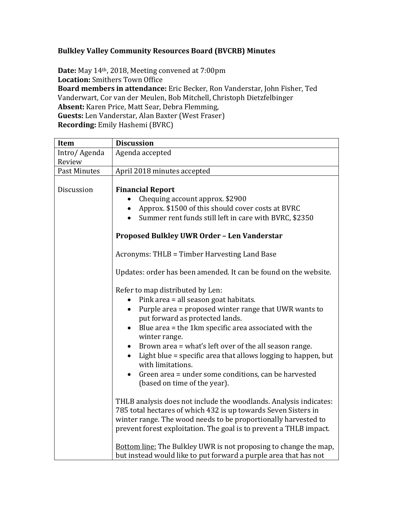## **Bulkley Valley Community Resources Board (BVCRB) Minutes**

**Date:** May 14th, 2018, Meeting convened at 7:00pm **Location:** Smithers Town Office **Board members in attendance:** Eric Becker, Ron Vanderstar, John Fisher, Ted Vanderwart, Cor van der Meulen, Bob Mitchell, Christoph Dietzfelbinger **Absent:** Karen Price, Matt Sear, Debra Flemming, **Guests:** Len Vanderstar, Alan Baxter (West Fraser) **Recording:** Emily Hashemi (BVRC)

| Item         | <b>Discussion</b>                                                                                                                                                                                                                                                                                                                                                                                                                                                                                                              |  |  |  |
|--------------|--------------------------------------------------------------------------------------------------------------------------------------------------------------------------------------------------------------------------------------------------------------------------------------------------------------------------------------------------------------------------------------------------------------------------------------------------------------------------------------------------------------------------------|--|--|--|
| Intro/Agenda | Agenda accepted                                                                                                                                                                                                                                                                                                                                                                                                                                                                                                                |  |  |  |
| Review       |                                                                                                                                                                                                                                                                                                                                                                                                                                                                                                                                |  |  |  |
| Past Minutes | April 2018 minutes accepted                                                                                                                                                                                                                                                                                                                                                                                                                                                                                                    |  |  |  |
| Discussion   | <b>Financial Report</b><br>Chequing account approx. \$2900<br>Approx. \$1500 of this should cover costs at BVRC<br>Summer rent funds still left in care with BVRC, \$2350                                                                                                                                                                                                                                                                                                                                                      |  |  |  |
|              | Proposed Bulkley UWR Order - Len Vanderstar                                                                                                                                                                                                                                                                                                                                                                                                                                                                                    |  |  |  |
|              | Acronyms: THLB = Timber Harvesting Land Base                                                                                                                                                                                                                                                                                                                                                                                                                                                                                   |  |  |  |
|              | Updates: order has been amended. It can be found on the website.                                                                                                                                                                                                                                                                                                                                                                                                                                                               |  |  |  |
|              | Refer to map distributed by Len:<br>Pink area = all season goat habitats.<br>Purple area = proposed winter range that UWR wants to<br>$\bullet$<br>put forward as protected lands.<br>Blue area = the 1km specific area associated with the<br>$\bullet$<br>winter range.<br>Brown area = what's left over of the all season range.<br>$\bullet$<br>Light blue = specific area that allows logging to happen, but<br>with limitations.<br>Green area = under some conditions, can be harvested<br>(based on time of the year). |  |  |  |
|              | THLB analysis does not include the woodlands. Analysis indicates:<br>785 total hectares of which 432 is up towards Seven Sisters in<br>winter range. The wood needs to be proportionally harvested to<br>prevent forest exploitation. The goal is to prevent a THLB impact.                                                                                                                                                                                                                                                    |  |  |  |
|              | <b>Bottom line:</b> The Bulkley UWR is not proposing to change the map,<br>but instead would like to put forward a purple area that has not                                                                                                                                                                                                                                                                                                                                                                                    |  |  |  |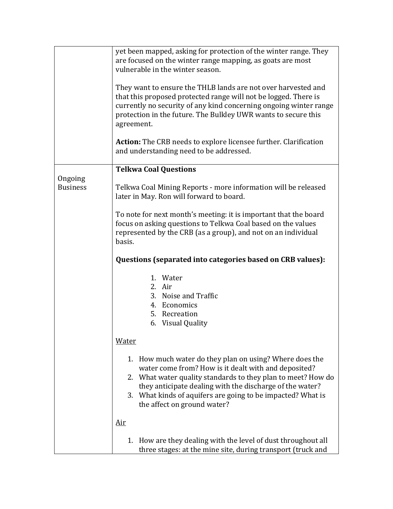|                            | yet been mapped, asking for protection of the winter range. They<br>are focused on the winter range mapping, as goats are most<br>vulnerable in the winter season.                                                                                                                                                                        |
|----------------------------|-------------------------------------------------------------------------------------------------------------------------------------------------------------------------------------------------------------------------------------------------------------------------------------------------------------------------------------------|
|                            | They want to ensure the THLB lands are not over harvested and<br>that this proposed protected range will not be logged. There is<br>currently no security of any kind concerning ongoing winter range<br>protection in the future. The Bulkley UWR wants to secure this<br>agreement.                                                     |
|                            | <b>Action:</b> The CRB needs to explore licensee further. Clarification<br>and understanding need to be addressed.                                                                                                                                                                                                                        |
|                            | <b>Telkwa Coal Questions</b>                                                                                                                                                                                                                                                                                                              |
| Ongoing<br><b>Business</b> | Telkwa Coal Mining Reports - more information will be released<br>later in May. Ron will forward to board.                                                                                                                                                                                                                                |
|                            | To note for next month's meeting: it is important that the board<br>focus on asking questions to Telkwa Coal based on the values<br>represented by the CRB (as a group), and not on an individual<br>basis.                                                                                                                               |
|                            | Questions (separated into categories based on CRB values):                                                                                                                                                                                                                                                                                |
|                            | 1. Water<br>2. Air<br>3. Noise and Traffic<br>4. Economics<br>5. Recreation<br>6. Visual Quality                                                                                                                                                                                                                                          |
|                            | <b>Water</b>                                                                                                                                                                                                                                                                                                                              |
|                            | 1. How much water do they plan on using? Where does the<br>water come from? How is it dealt with and deposited?<br>2. What water quality standards to they plan to meet? How do<br>they anticipate dealing with the discharge of the water?<br>3. What kinds of aquifers are going to be impacted? What is<br>the affect on ground water? |
|                            | <u>Air</u>                                                                                                                                                                                                                                                                                                                                |
|                            | 1. How are they dealing with the level of dust throughout all<br>three stages: at the mine site, during transport (truck and                                                                                                                                                                                                              |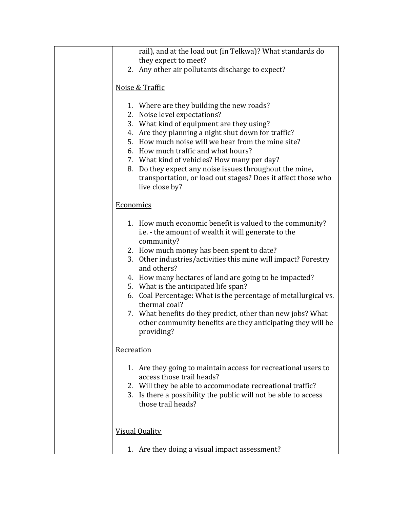| rail), and at the load out (in Telkwa)? What standards do       |  |  |  |
|-----------------------------------------------------------------|--|--|--|
| they expect to meet?                                            |  |  |  |
| 2. Any other air pollutants discharge to expect?                |  |  |  |
|                                                                 |  |  |  |
| Noise & Traffic                                                 |  |  |  |
|                                                                 |  |  |  |
| 1. Where are they building the new roads?                       |  |  |  |
| 2. Noise level expectations?                                    |  |  |  |
| 3. What kind of equipment are they using?                       |  |  |  |
| 4. Are they planning a night shut down for traffic?             |  |  |  |
| 5. How much noise will we hear from the mine site?              |  |  |  |
| 6. How much traffic and what hours?                             |  |  |  |
|                                                                 |  |  |  |
| 7. What kind of vehicles? How many per day?                     |  |  |  |
| 8. Do they expect any noise issues throughout the mine,         |  |  |  |
| transportation, or load out stages? Does it affect those who    |  |  |  |
| live close by?                                                  |  |  |  |
|                                                                 |  |  |  |
| Economics                                                       |  |  |  |
|                                                                 |  |  |  |
| 1. How much economic benefit is valued to the community?        |  |  |  |
| i.e. - the amount of wealth it will generate to the             |  |  |  |
| community?                                                      |  |  |  |
| 2. How much money has been spent to date?                       |  |  |  |
| 3. Other industries/activities this mine will impact? Forestry  |  |  |  |
| and others?                                                     |  |  |  |
|                                                                 |  |  |  |
| 4. How many hectares of land are going to be impacted?          |  |  |  |
| 5. What is the anticipated life span?                           |  |  |  |
| 6. Coal Percentage: What is the percentage of metallurgical vs. |  |  |  |
| thermal coal?                                                   |  |  |  |
| 7. What benefits do they predict, other than new jobs? What     |  |  |  |
| other community benefits are they anticipating they will be     |  |  |  |
| providing?                                                      |  |  |  |
|                                                                 |  |  |  |
| Recreation                                                      |  |  |  |
|                                                                 |  |  |  |
| 1. Are they going to maintain access for recreational users to  |  |  |  |
| access those trail heads?                                       |  |  |  |
| 2. Will they be able to accommodate recreational traffic?       |  |  |  |
| 3. Is there a possibility the public will not be able to access |  |  |  |
| those trail heads?                                              |  |  |  |
|                                                                 |  |  |  |
|                                                                 |  |  |  |
|                                                                 |  |  |  |
| <b>Visual Quality</b>                                           |  |  |  |
|                                                                 |  |  |  |
| 1. Are they doing a visual impact assessment?                   |  |  |  |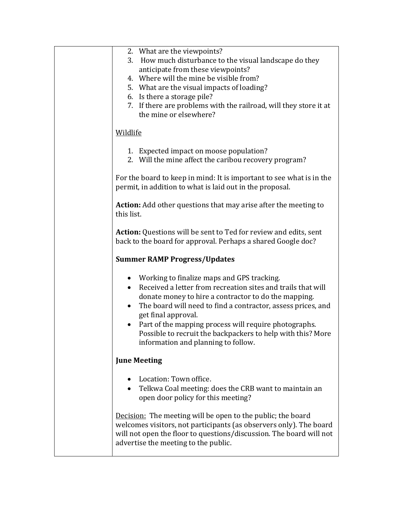| 2. What are the viewpoints?<br>How much disturbance to the visual landscape do they<br>3.<br>anticipate from these viewpoints?<br>4. Where will the mine be visible from?<br>5. What are the visual impacts of loading?<br>6. Is there a storage pile?<br>7. If there are problems with the railroad, will they store it at<br>the mine or elsewhere?                                                                                     |  |  |
|-------------------------------------------------------------------------------------------------------------------------------------------------------------------------------------------------------------------------------------------------------------------------------------------------------------------------------------------------------------------------------------------------------------------------------------------|--|--|
| Wildlife                                                                                                                                                                                                                                                                                                                                                                                                                                  |  |  |
| 1. Expected impact on moose population?<br>2. Will the mine affect the caribou recovery program?                                                                                                                                                                                                                                                                                                                                          |  |  |
| For the board to keep in mind: It is important to see what is in the<br>permit, in addition to what is laid out in the proposal.                                                                                                                                                                                                                                                                                                          |  |  |
| Action: Add other questions that may arise after the meeting to<br>this list.                                                                                                                                                                                                                                                                                                                                                             |  |  |
| Action: Questions will be sent to Ted for review and edits, sent<br>back to the board for approval. Perhaps a shared Google doc?                                                                                                                                                                                                                                                                                                          |  |  |
| <b>Summer RAMP Progress/Updates</b>                                                                                                                                                                                                                                                                                                                                                                                                       |  |  |
| • Working to finalize maps and GPS tracking.<br>Received a letter from recreation sites and trails that will<br>$\bullet$<br>donate money to hire a contractor to do the mapping.<br>The board will need to find a contractor, assess prices, and<br>get final approval.<br>• Part of the mapping process will require photographs.<br>Possible to recruit the backpackers to help with this? More<br>information and planning to follow. |  |  |
| <b>June Meeting</b>                                                                                                                                                                                                                                                                                                                                                                                                                       |  |  |
| Location: Town office.<br>Telkwa Coal meeting: does the CRB want to maintain an<br>$\bullet$<br>open door policy for this meeting?                                                                                                                                                                                                                                                                                                        |  |  |
| Decision: The meeting will be open to the public; the board<br>welcomes visitors, not participants (as observers only). The board<br>will not open the floor to questions/discussion. The board will not<br>advertise the meeting to the public.                                                                                                                                                                                          |  |  |